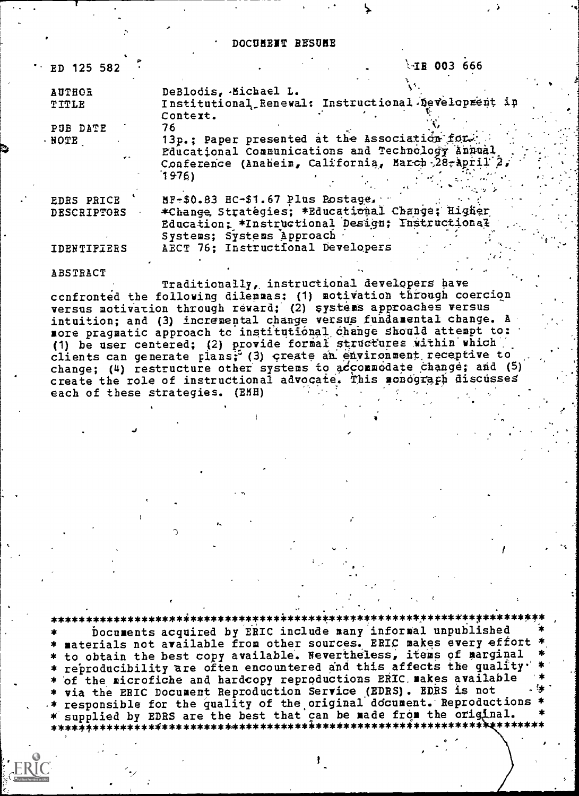DOCUMENT RESUME

| ED 125 582             | $-IB$ 003 666                                                                                                                   |
|------------------------|---------------------------------------------------------------------------------------------------------------------------------|
| <b>AUTHOR</b><br>TITLE | DeBlodis, Michael L.<br>Institutional Renewal: Instructional Development in<br>Context.                                         |
| PUB DATE               | 76                                                                                                                              |
| · NOTE                 | 13p.; Paper presented at the Association for.<br>Educational Communications and Technology Annual                               |
|                        | Conference (Anaheim, California, March 28-april 2,<br>1976)                                                                     |
| <b>EDRS PRICE</b>      | MF-\$0.83 HC-\$1.67 Plus Postage.                                                                                               |
| <b>DESCRIPTORS</b>     | *Change Strategies; *Educational Change; Higher<br>Education: *Instructional Design; Instructional<br>Systems; Systems Approach |
| <b>IDENTIFIERS</b>     | AECT 76; Instructional Developers                                                                                               |
| <b>ABSTRACT</b>        |                                                                                                                                 |

Traditionally, instructional developers have confronted the following dilemnas: (1) motivation through coercion versus motivation through reward; (2) systems approaches versus intuition; and (3) incremental change versus fundamental change. A more pragmatic approach to institutional change should attempt to: (1) be user centered; (2) provide formal structures within which clients can generate plans; (3) create an environment receptive to change; (4) restructure other systems to accommodate change; and (5) create the role of instructional advocate. This monograph discusses each of these strategies. (EMH)

\*\*\*\*\*\*\*\*\*\*\*\*\*\*\*\*\*\*\*\*\*\*\*\* Documents acquired by ERIC include many informal unpublished materials not available from other sources. ERIC makes every effort to obtain the best copy available. Nevertheless, items of marginal reproducibility are often encountered and this affects the quality. of the microfiche and hardcopy reproductions ERIC makes available via the ERIC Document Reproduction Service (EDRS). EDRS is not responsible for the quality of the original document. Reproductions \* supplied by EDRS are the best that can be made from the original. 

J.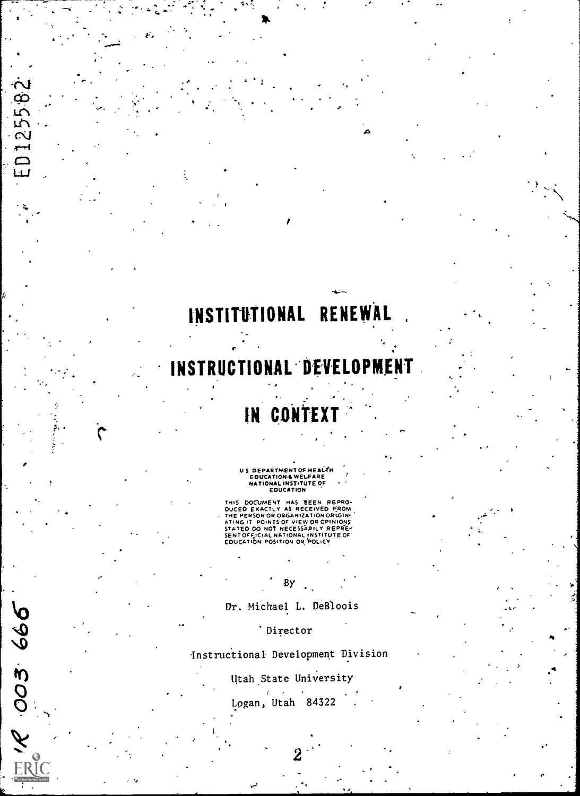# INSTITUTIONAL RENEWAL

 $\frac{1}{\sqrt{2}}\left(\frac{1}{\sqrt{2}}\right)^{2}=\frac{1}{\sqrt{2}}\left(\frac{1}{\sqrt{2}}\right)^{2}=\frac{1}{\sqrt{2}}\left(\frac{1}{\sqrt{2}}\right)^{2}=\frac{1}{\sqrt{2}}\left(\frac{1}{\sqrt{2}}\right)^{2}=\frac{1}{\sqrt{2}}\left(\frac{1}{\sqrt{2}}\right)^{2}=\frac{1}{\sqrt{2}}\left(\frac{1}{\sqrt{2}}\right)^{2}=\frac{1}{\sqrt{2}}\left(\frac{1}{\sqrt{2}}\right)^{2}=\frac{1}{\sqrt{2}}\left(\frac{1}{\sqrt{2}}\right$ 

ထ

12551

 $\begin{bmatrix} 1 \\ 1 \\ 2 \end{bmatrix}$ 

1299.600

<sup>1</sup> t

ŧ.

## STRUCTIONA

## IN CONTE

U S DEPARTMENT OF HEALTH<br>EDUCATIONAL WELFARE<br>HATIONAL INSTITUTE OF<br>EDUCATION

THIS DOCUMENT HAS BEEN REPRO-<br>DUCED EXACTLY AS RECEIVED FROM<br>THE PERSON OR ORGANIZATION ORIGINI<br>ATING IT POINTS OF VIEW OR OPINIONS<br>SENTO FO NOT NECESSARILY REPRE-<br>SENTOFFICIAL NATIONAL INSTITUTE OF<br>EDUCATION POSITION OR P

-

Fli

4

Dr. MiChael L. DeBloois

By

'Director

instructional Development Division

### Utah State University

Logan, Utah 84322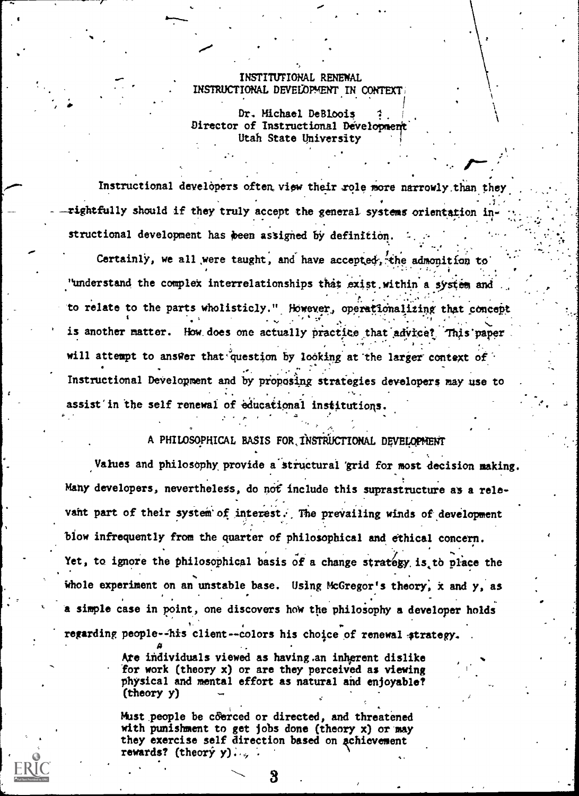#### INSTITUTIONAL RENEWAL INSTRUCTIONAL DEVELOPMENT IN CONTEXT

Dr. Michael DeBloois Director of Instructional Development Utah State University

Instructional developers often view their role more narrowly than they rightfully should if they truly accept the general systems orientation in structional development has been assigned by definition.

Certainly, we all were taught, and have accepted, the admonition to "understand the complex interrelationships that exist within a system and to relate to the parts wholisticly." However, operationalizing that concept is another matter. How does one actually practice that advice? This paper will attempt to answer that question by looking at the larger context of Instructional Development and by proposing strategies developers may use to assist in the self renewal of educational institutions.

#### A PHILOSOPHICAL BASIS FOR INSTRUCTIONAL DEVELOPMENT

Values and philosophy provide a structural grid for most decision making. Many developers, nevertheless, do not include this suprastructure as a relevant part of their system of interest. The prevailing winds of development blow infrequently from the quarter of philosophical and ethical concern. Yet, to ignore the philosophical basis of a change strategy is to place the whole experiment on an unstable base. Using McGregor's theory, x and y, as a simple case in point, one discovers how the philosophy a developer holds regarding people--his client--colors his choice of renewal strategy.

> Are individuals viewed as having an inherent dislike for work (theory x) or are they perceived as viewing physical and mental effort as natural and enjoyable?  $(theory y)$

Must people be coerced or directed, and threatened with punishment to get jobs done (theory  $x$ ) or may they exercise self direction based on achievement rewards? (theory y)...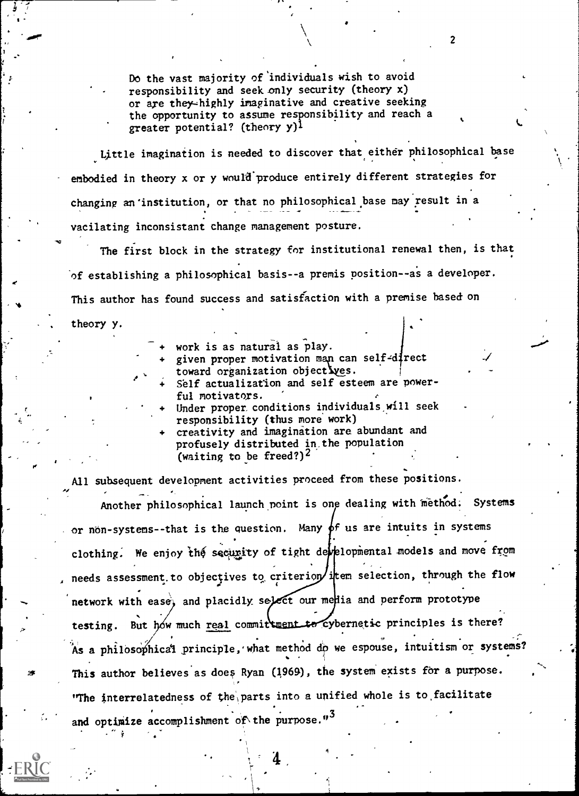Do the vast majority of individuals wish to avoid responsibility and seek only security (theory x) or are they-highly imaginative and creative seeking the opportunity to assume responsibility and reach a greater potential? (theory y)<sup>1</sup>

-

Little imagination is needed to discover that either philosophical base embodied in theory x or y would produce entirely different strategies for changing an' institution, or that no philosophical base nay result in a vacilating inconsistant change management posture.

The first block in the strategy for institutional renewal then, is that of establishing a philosophical basis--a premis position--as a developer. This author has found success and satisfaction with a premise based on theory y.

- work is as natural as play.
- given proper motivation man can self-direct<br>toward organization objectives.
- Self actualization and self esteem are powerful motivators.
- Under proper conditions individuals will seek responsibility (thus more work)
- creativity and imagination are abundant and profusely distributed in, the population (waiting to be freed?)<sup>2</sup>

All subsequent development activities proceed from these positions. Another philosophical launch point is one dealing with method. Systems or non-systems--that is the question. Many  $\oint f$  us are intuits in systems clothing. We enjoy the security of tight developmental models and move from needs assessment to objectives to criterion/item selection, through the flow network with ease, and placidly select our media and perform prototype testing. But hów much real committment to cybernetic principles is there? As a philosophical principle, what method do we espouse, intuitism or systems? This author believes as does Ryan (1969), the system exists for a purpose. The interrelatedness of the parts into a unified whole is to facilitate and optimize accomplishment of the purpose."<sup>3</sup>

4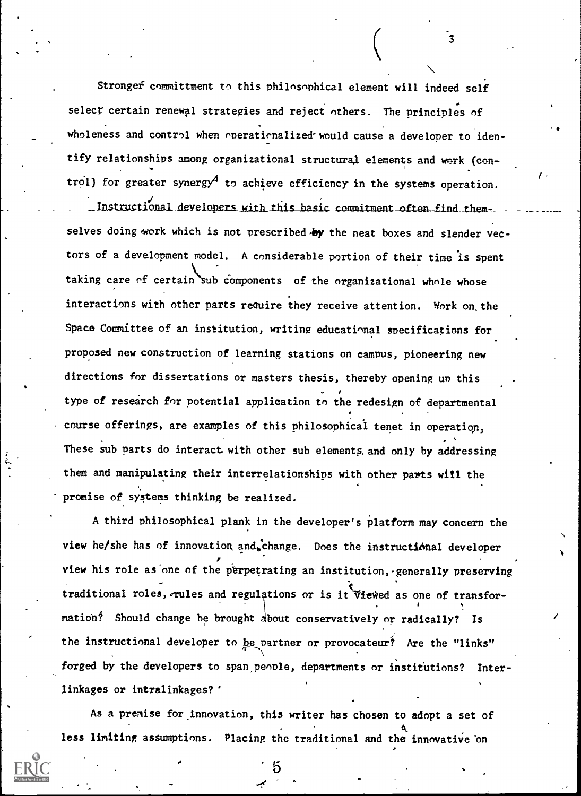Stronger committment to this philosophical element will indeed self select certain renewal strategies and reject others. The principles of wholeness and control when operationalized would cause a developer to identify relationships among organizational structural elements and work {con  $\bullet$  . The contract of  $\bullet$ trol) for greater synergy<sup>4</sup> to achieve efficiency in the systems operation.

3

Instructional developers with this basic commitment often find themselves doing work which is not prescribed by the neat boxes and slender vectors of a development model. A considerable portion of their time is spent taking care of certain sub components of the organizational whole whose interactions with other parts require they receive attention. Work on the Space Committee of an institution, writing educational specifications for proposed new construction of learning stations on campus, pioneering new directions for dissertations or masters thesis, thereby opening un this type of research for potential application to the redesign of departmental course offerings, are examples of this philosophical tenet in operation, These sub parts do interact with other sub elements, and only by addressing them and manipulating their interrelationships with other parts will the promise of systems thinking be realized.

A third philosophical plank in the developer's platform may concern the view he/she has of innovation and.change. Does the instructional developer view his role as one of the perpetrating an institution, generally preserving , . mation? Should change be brought about conservatively or radically? Is traditional roles, rules and regulations or is it Viewed as one of transfor-. the instructional developer to be partner or provocateur? Are the "links" forged by the developers to span people, departments or institutions? Interlinkages or intralinkages?'

As a premise for innovation, this writer has chosen to adopt a set of less limiting assumptions. Placing the traditional and the innovative on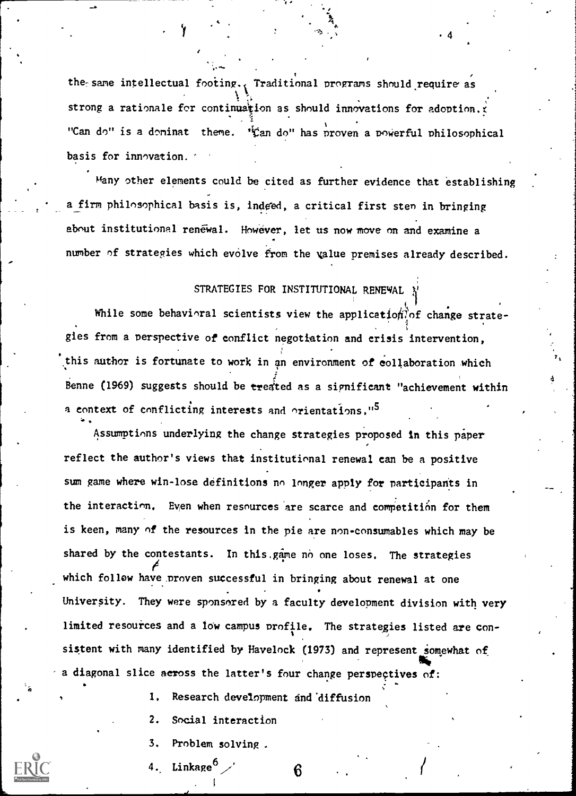, where the contract of the contract of the contract of the contract of the contract of the contract of the contract of the contract of the contract of the contract of the contract of the contract of the contract of the c the same intellectual footing. Traditional programs should require as strong a rationale for continuation as should innovations for adoption.t "Can do" is a doninat theme. "Can do" has proven a powerful philosophical basis for innovation.

't

4

Many other elements could be cited as further evidence that establishing a firm philosophical basis is, indeed, a critical first sten in bringing about institutional renewal. However, let us now move on and examine a number of strategies which evolve from the value premises already described.

#### STRATEGIES FOR INSTITUTIONAL RENEWAL

While some behavioral scientists view the application of change strategies from a perspective of conflict negotiation and crisis intervention, this author is fortunate to work in an environment of collaboration which Benne (1969) suggests should be treated as a significant "achievement within a context of conflicting interests and orientations."<sup>5</sup>

Assumptions underlying the change strategies proposed In this paper reflect the author's views that institutional renewal can be a positive sum game where win-lose definitions nn longer apply for participants in the interaction. Even when resources are scarce and competition for them is keen, many of the resources in the pie are non-consumables which may be shared by the contestants. In this game no one loses. The strategies which follow have proven successful in bringing about renewal at one University. They were sponsored by a faculty development division with very limited resources and a low campus profile. The strategies listed are consistent with many identified by Havelock (1973) and represent somewhat of a diagonal slice across the latter's four change perspectives of:

- 1. Research development and diffusion
- 2. Social interaction
- 3. Problem solving .
- Linkage<sup>6</sup>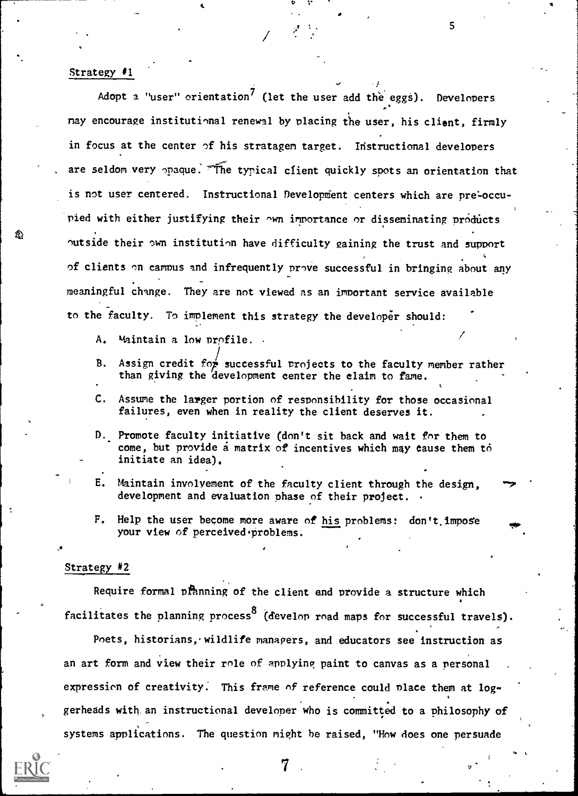#### Strategy #1

Adopt a "user" orientation<sup>7</sup> (let the user add the eggs). Developers nay encourage institutional renewal by placing the user, his client, firmly in focus at the center of his stratagem target. Instructional developers are seldom very opaque. The typical client quickly spots an orientation that is not user centered. Instructional Development centers which are pre-occupied with either justifying their own inportance or disseminating products outside their own institution have difficulty gaining the trust and support of clients on campus and infrequently prove successful in bringing about any meaningful change. They are not viewed as an important service available to the faculty. To implement this strategy the developer should:

1'

5

- A. Maintain a low profile.
- B. Assign credit for successful projects to the faculty member rather than giving the development center the claim to fame.
- C. Assume the larger portion of responsibility for those occasional failures, even when in reality the client deserves it.
- Promote faculty initiative (don't sit back and wait for them to come, but provide a matrix of incentives which may cause them to initiate an idea).
- E. Maintain involvement of the faculty client through the design, development and evaluation phase of their project.
- F. Help the user become more aware of his problems:  $don't, \text{impose}$ your view of perceived problems.

#### Strategy #2

Require formal pranning of the client and provide a structure which facilitates the planning process<sup>8</sup> (develop road maps for successful travels).

Poets, historians, wildlife managers, and educators see instruction as an art form and view their role of applying paint to canvas as a personal expression of creativity. This frame of reference could place them at loggerheads with. an instructional developer who is committed to a philosophy of systems applications. The question might he raised, "How does one persuade



7.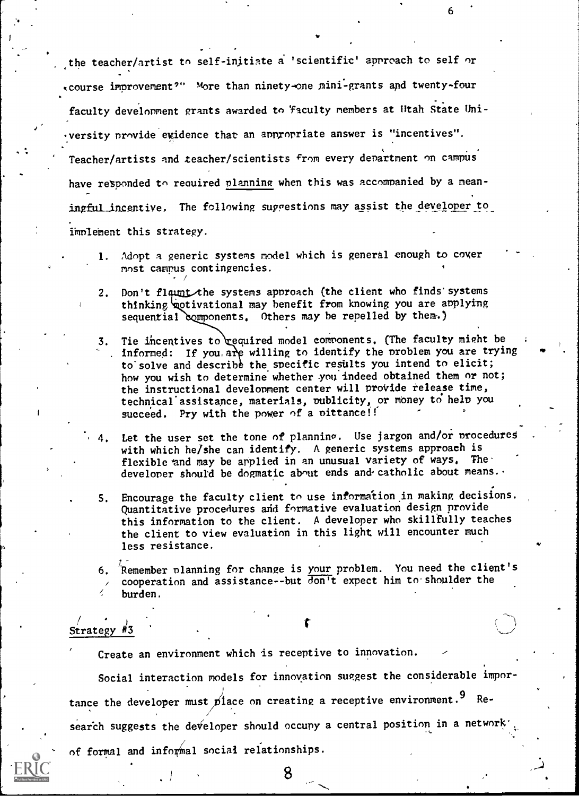the teacher/artist to self-initiate a 'scientific' approach to self or course improvement'?" more than ninety -one pini-grants apd twenty-four faculty development grants awarded to 'faculty members at Utah State Uniyersity provide evidence that an appropriate answer is "incentives". Teacher/artists and teacher/scientists from every department on campus have responded to required planning when this was accompanied by a meaningful incentive. The following suggestions may assist the developer to implement this strategy.

1. Adopt a generic systems model which is general enough to cover most canrus contingencies.

- 2. Don't fl he systems approach (the client who finds'systems thinking otivational may benefit from knowing you are applying sequential components. Others may be repelled by them.)
- 3. Tie incentives to required model components. (The faculty might be informed: If you, are willing to identify the problem you are trying to solve and describe the specific results you intend to elicit; how you wish to determine whether you indeed obtained them or not; the instructional development center will provide release time, technical assistance, materials, publicity, or money to help you succeed. Pry with the power of a pittance!!
- Let the user set the tone of planning. Use jargon and/or procedures with which he/she can identify. A generic systems approach is flexible and may be applied in an unusual variety of ways. The developer should be dogmatic about ends and catholic about means. .
- 5. Encourage the faculty client to use information in making decisions. Quantitative procedures and formative evaluation design provide this information to the client. A developer who skillfully teaches the client to view evaluation in this light will encounter much less resistance.
- 6. ?Remember planning for change is your problem. You need the client's cooperation and assistance--but  $\overline{\text{don}}$  t expect him to shoulder the burden.

### Strategy  $\frac{4}{3}$

Create an environment which is receptive to innovation.

Social interaction models for innovation suggest the considerable importance the developer must place on creating a receptive environment.<sup>9</sup> Re-/ search suggests the developer should occupy a central position in a network' of formal and informal social relationships.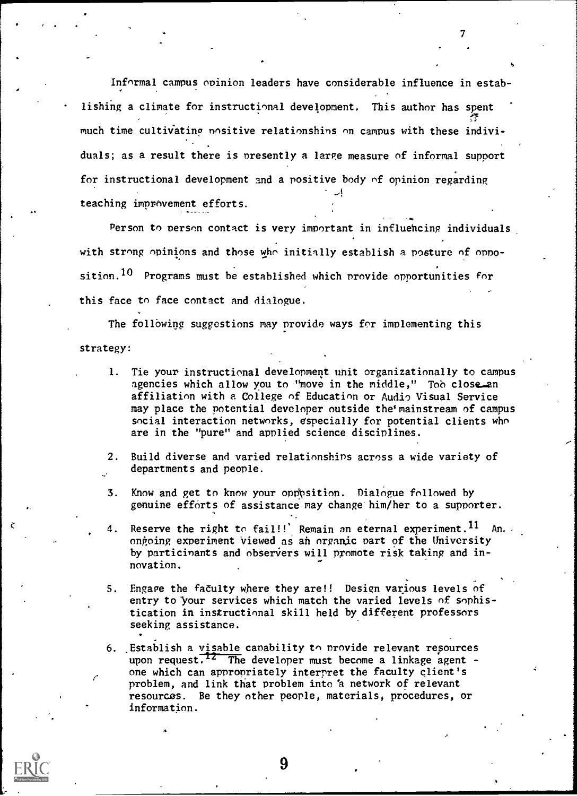Informal campus opinion leaders have considerable influence in estab-  $\mathbf{v}$ , and the set of  $\mathbf{v}$ lishing a climate for instructional development. This author has spent much time cultivating nositive relationships on campus with these individuals; as a result there is presently a large measure of informal support for instructional development and a rositive body of opinion regarding  $\sim$ 1 and  $\sim$ teaching imppovement efforts.

 $\mathcal{T}$  and  $\mathcal{T}$ 

Person to person contact is very important in influencing individuals with strong opinions and those who initially establish a posture of opposition.<sup>10</sup> Programs must be established which provide opportunities for this face to face contact and dialogue.

The following suggestions may provide ways for implementing this strategy:

- 1. Tie your instructional development unit organizationally to campus agencies which allow you to "move in the middle," Too close an affiliation with a College of Education or Audio Visual Service may place the potential developer outside the mainstream of campus social interaction networks, especially for potential clients who are in the "pure" and applied science disciplines.
- 2. Build diverse and varied relationships across a wide variety of departments and people.
- 3. Know and get to know your opp sition. Dialogue followed by genuine efforts of assistance may change him/her to a supporter.
- 4. Reserve the right to fail!!' Remain an eternal experiment.<sup>11</sup> An. ongoing experiment viewed as an organic part of the University by particinants and observers will promote risk taking and innovation.
- S. Engage the faculty where they are!! Design various levels of entry to your services which match the varied levels of sophistication in instructinnal skill held by different professors seeking assistance.
- problem, and link that problem into a network of relevant 6. .Establish a visable capability to provide relevant repources upon request.<sup>12</sup> The developer must become a linkage agent one which can appropriately interpret the faculty client's resources. Be they other people, materials, procedures, or information.

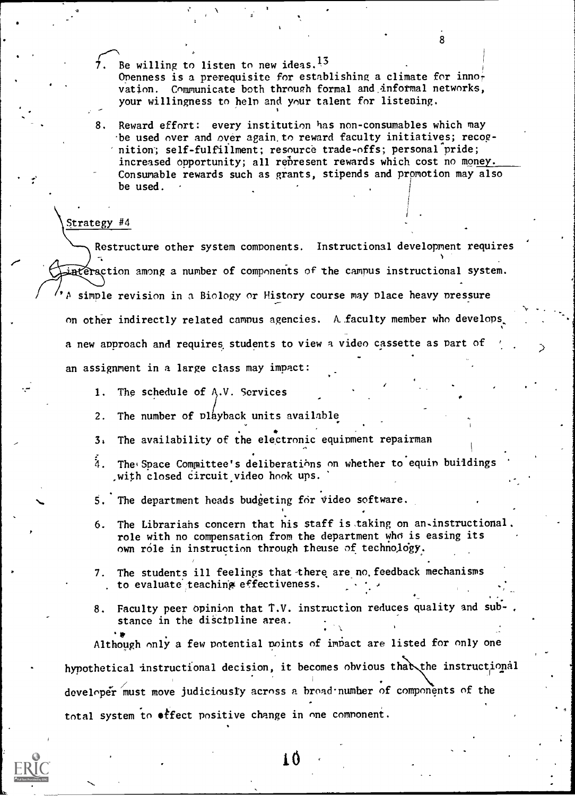- $\overline{7}$ . Be willing to listen to new ideas.<sup>13</sup> Openness is a prerequisite for establishing a climate for inno $\frac{1}{t}$ vation. Communicate both through formal and informal networks, your willingness to help and your talent for listening.
- 8. Reward effort: every institution has non-consumables which may be used over and over again,to reward faculty initiatives; recognition; self-fulfillment; resource trade-offs; personal pride; increased opportunity; all represent rewards which cost no money. Consumable rewards such as grants, stipends and promotion may also be used.

#### Strategy #4

Restructure other system components. Instructional development requires interaction among a number of components of the campus instructional system. P simple revision in a Biology or History course may Place heavy nressure on other indirectly related campus agencies. A faculty member who develops, a new approach and requires students to view a video cassette as part of an assignment in a large class may impact:

- 1. The schedule of  $A.V.$  Services
- 2. The number of playback units available
- 3, The availability of the electronic equipment repairman
- $4.$  The Space Committee's deliberations on whether to equin buildings ,with closed circuit video hook ups.

.

- 5. The department heads budgeting for video software.
- 6. The Librariahs concern that his staff is taking on an-instructional. role with no compensation from the department who is easing its own role in instruction through theuse of technology.
- 7. The students ill feelings that there are no feedback mechanisms to evaluate teaching effectiveness.
- 8. Faculty peer opinion that T.V. instruction reduces quality and sub stance in the discipline area.<br>  $\begin{array}{ccc} \cdot & \bullet & \cdot & \cdot \\ \bullet & \cdot & \cdot & \end{array}$

Although only a few potential points of impact are listed for only one hypothetical instructional decision, it becomes obvious that the instructional developer must move judiciously across a broad number of components of the total system to effect positive change in one comnoneni.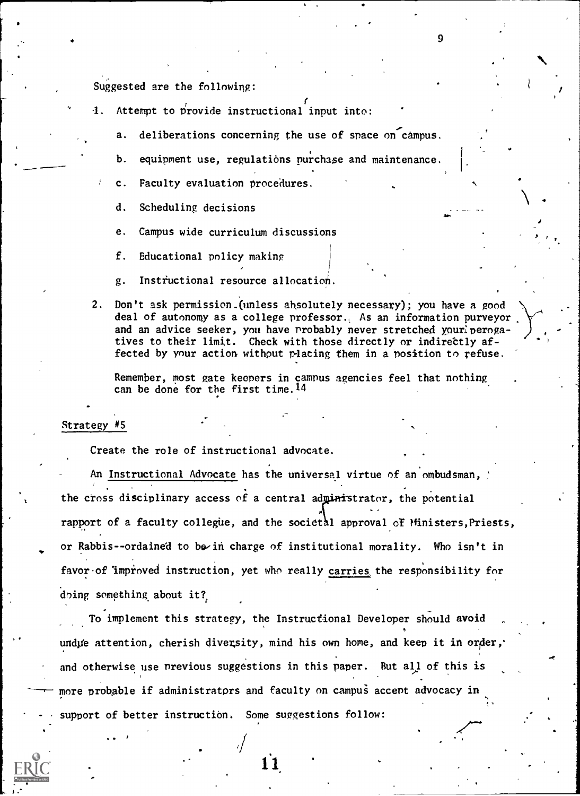Suggested are the following:

- 1. Attempt to provide instructional input into:  $\qquad$ 
	- a. deliberations concerning the use of space on campus.
	- b. equipment use, regulations purchase and maintenance.
	- c. Faculty evaluation procedures.
		- d. Scheduling decisions
		- e. Campus wide curriculum discussions
		- f. Educational policy making
		- g. Instfuctional resource allocation.
- 2. Don't ask permission.(unless absolutely necessary); you have a good deal of autonomy as a college professor., As an information purveyor and an advice seeker, you have probably never stretched yourlperogatives to their limit. Check with those directly or indirettly affected by your action without placing them in a position to refuse.

Remember, most gate keepers in campus agencies feel that nothing can be done for the first time.14

#### Strategy #S

Create the role of instructional advocate.

An Instructional Advocate has the universal virtue of an ombudsman, the cross disciplinary access of a central administrator, the potential  $\mathbf{A}$ rapport of a faculty collegue, and the societal approval of Ministers, Priests, or Rabbis--ordained to be in charge of institutional morality. Who isn't in favor of 'improved instruction, yet who really carries the responsibility for doing something about it?,

To implement this strategy, the Instructional Developer should avoid undue attention, cherish diversity, mind his own home, and keep it in order, and otherwise use previous suggestions in this paper. But all of this is more probable if administrators and faculty on campus accent advocacy in support of better instruction. Some suggestions follow: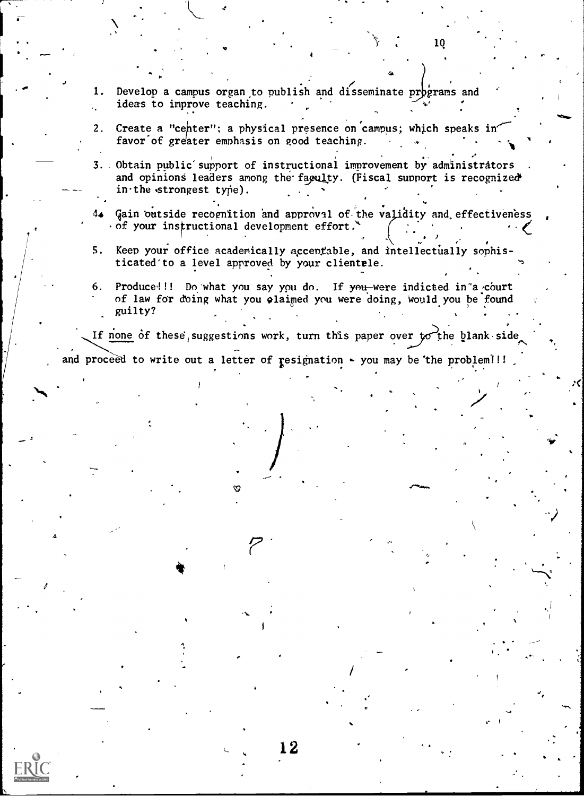- Develop a campus organ to publish and disseminate programs and 1. ideas to improve teaching.  $\mathbf{r}$
- Create a "center"; a physical presence on campus; which speaks in  $2.$ favor of greater emphasis on good teaching.
- 3. Obtain public support of instructional improvement by administrators and opinions leaders among the faculty. (Fiscal support is recognized in the strongest type).
- Gain outside recognition and approval of the validity and effectiveness 4▲  $\cdot$  of your instructional development effort.
- $5.$ Keep your office academically accentable, and intellectually sophisticated to a level approved by your clientele.
- $6.$ Produce!!! Do what you say you do. If you were indicted in a court of law for doing what you claimed you were doing, would you be found guilty?

If none of these suggestions work, turn this paper over to the blank side

and proceed to write out a letter of resignation - you may be the problem!!!